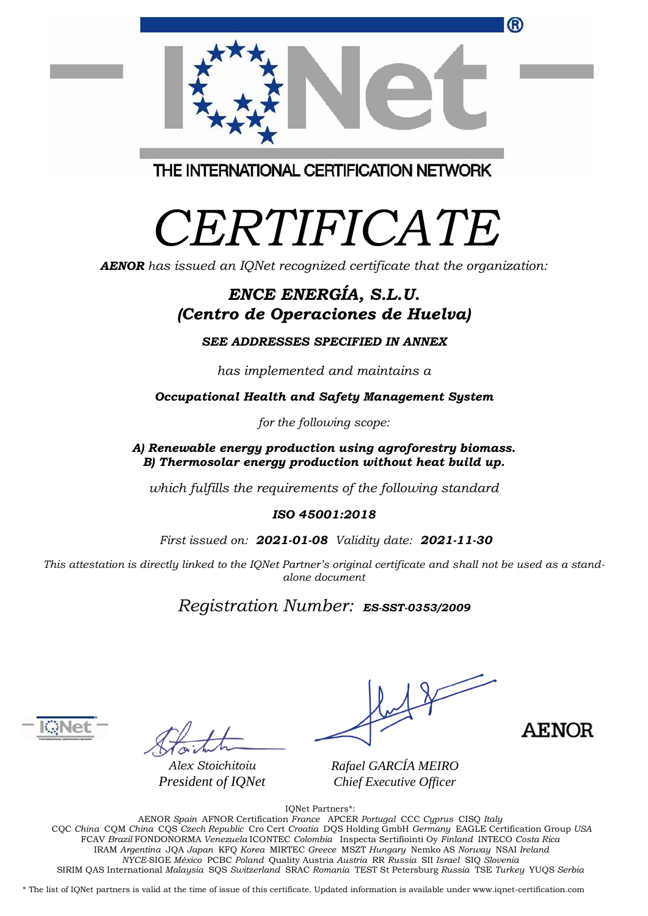| (R)                                     |  |
|-----------------------------------------|--|
|                                         |  |
| THE INTERNATIONAL OF BEID ATION NETWORK |  |

THE INTERNATIONAL CERTIFICATION NETWORK

## *CERTIFICATE*

*AENOR has issued an IQNet recognized certificate that the organization:*

## *ENCE ENERGÍA, S.L.U. (Centro de Operaciones de Huelva)*

*SEE ADDRESSES SPECIFIED IN ANNEX*

*has implemented and maintains a*

*Occupational Health and Safety Management System*

*for the following scope:*

*A) Renewable energy production using agroforestry biomass. B) Thermosolar energy production without heat build up.*

*which fulfills the requirements of the following standard*

*ISO 45001:2018*

*First issued on: 2021-01-08 Validity date: 2021-11-30*

This attestation is directly linked to the IQNet Partner's original certificate and shall not be used as a stand*alone document*

*Registration Number: ES-SST-0353/2009*



*Alex Stoichitoiu President of IQNet*

**AENOR** 

*Rafael GARCÍA MEIRO Chief Executive Officer*

IQNet Partners\*:

AENOR *Spain* AFNOR Certification *France* APCER *Portugal* CCC *Cyprus* CISQ *Italy* CQC *China* CQM *China* CQS *Czech Republic* Cro Cert *Croatia* DQS Holding GmbH *Germany* EAGLE Certification Group *USA* FCAV *Brazil* FONDONORMA *Venezuela* ICONTEC *Colombia* Inspecta Sertifiointi Oy *Finland* INTECO *Costa Rica* IRAM *Argentina* JQA *Japan* KFQ *Korea* MIRTEC *Greece* MSZT *Hungary* Nemko AS *Norway* NSAI *Ireland NYCE-*SIGE *México* PCBC *Poland* Quality Austria *Austria* RR *Russia* SII *Israel* SIQ *Slovenia* SIRIM QAS International *Malaysia* SQS *Switzerland* SRAC *Romania* TEST St Petersburg *Russia* TSE *Turkey* YUQS *Serbia*

\* The list of IQNet partners is valid at the time of issue of this certificate. Updated information is available under www.iqnet-certification.com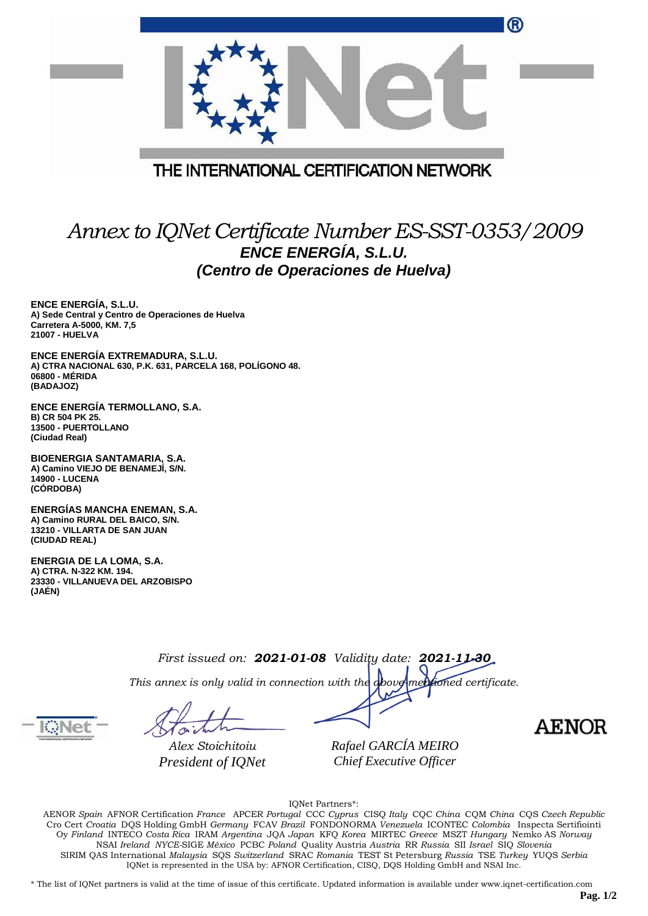|                                         | ® |
|-----------------------------------------|---|
|                                         |   |
| THE INTERNATIONAL CERTIFICATION NETWORK |   |

## *Annex to IQNet Certificate Number ES-SST-0353/2009 ENCE ENERGÍA, S.L.U. (Centro de Operaciones de Huelva)*

**ENCE ENERGÍA, S.L.U. A) Sede Central y Centro de Operaciones de Huelva Carretera A-5000, KM. 7,5 21007 - HUELVA**

**ENCE ENERGÍA EXTREMADURA, S.L.U. A) CTRA NACIONAL 630, P.K. 631, PARCELA 168, POLÍGONO 48. 06800 - MÉRIDA (BADAJOZ)**

**ENCE ENERGÍA TERMOLLANO, S.A. B) CR 504 PK 25. 13500 - PUERTOLLANO (Ciudad Real)**

**BIOENERGIA SANTAMARIA, S.A. A) Camino VIEJO DE BENAMEJÍ, S/N. 14900 - LUCENA (CÓRDOBA)**

**ENERGÍAS MANCHA ENEMAN, S.A. A) Camino RURAL DEL BAICO, S/N. 13210 - VILLARTA DE SAN JUAN (CIUDAD REAL)**

**ENERGIA DE LA LOMA, S.A. A) CTRA. N-322 KM. 194. 23330 - VILLANUEVA DEL ARZOBISPO (JAÉN)**

|  | First issued on: <b>2021-01-08</b> Validity date: <b>2021-11-30</b><br>This annex is only valid in connection with the <b>above medioned</b> certificate. |  |  |
|--|-----------------------------------------------------------------------------------------------------------------------------------------------------------|--|--|
|  |                                                                                                                                                           |  |  |

*Alex Stoichitoiu President of IQNet* *Rafael GARCÍA MEIRO Chief Executive Officer*

**AENOR** 

IQNet Partners\*:

AENOR *Spain* AFNOR Certification *France* APCER *Portugal* CCC *Cyprus* CISQ *Italy* CQC *China* CQM *China* CQS *Czech Republic* Cro Cert *Croatia* DQS Holding GmbH *Germany* FCAV *Brazil* FONDONORMA *Venezuela* ICONTEC *Colombia* Inspecta Sertifiointi Oy *Finland* INTECO *Costa Rica* IRAM *Argentina* JQA *Japan* KFQ *Korea* MIRTEC *Greece* MSZT *Hungary* Nemko AS *Norway* NSAI *Ireland NYCE-*SIGE *México* PCBC *Poland* Quality Austria *Austria* RR *Russia* SII *Israel* SIQ *Slovenia* SIRIM QAS International *Malaysia* SQS *Switzerland* SRAC *Romania* TEST St Petersburg *Russia* TSE *Turkey* YUQS *Serbia* IQNet is represented in the USA by: AFNOR Certification, CISQ, DQS Holding GmbH and NSAI Inc.

\* The list of IQNet partners is valid at the time of issue of this certificate. Updated information is available under www.iqnet-certification.com